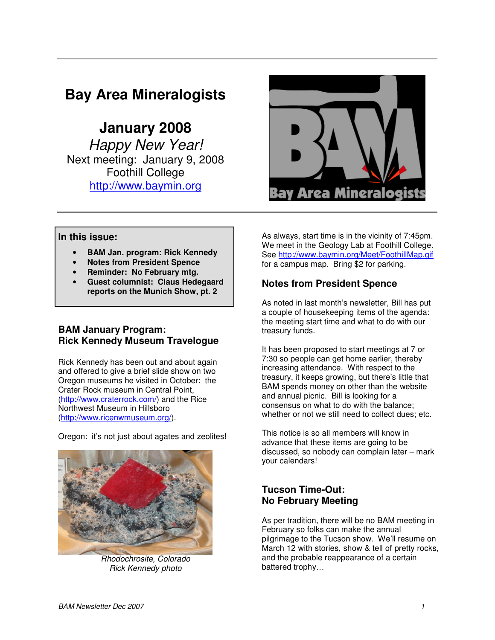# **Bay Area Mineralogists**

 **January 2008**  Happy New Year! Next meeting: January 9, 2008 Foothill College http://www.baymin.org



#### **In this issue:**

- **BAM Jan. program: Rick Kennedy**
- **Notes from President Spence**
- **Reminder: No February mtg.**
- **Guest columnist: Claus Hedegaard reports on the Munich Show, pt. 2**

## **BAM January Program: Rick Kennedy Museum Travelogue**

Rick Kennedy has been out and about again and offered to give a brief slide show on two Oregon museums he visited in October: the Crater Rock museum in Central Point, (http://www.craterrock.com/) and the Rice Northwest Museum in Hillsboro (http://www.ricenwmuseum.org/).

Oregon: it's not just about agates and zeolites!



Rhodochrosite, Colorado Rick Kennedy photo

As always, start time is in the vicinity of 7:45pm. We meet in the Geology Lab at Foothill College. See http://www.baymin.org/Meet/FoothillMap.gif for a campus map. Bring \$2 for parking.

## **Notes from President Spence**

As noted in last month's newsletter, Bill has put a couple of housekeeping items of the agenda: the meeting start time and what to do with our treasury funds.

It has been proposed to start meetings at 7 or 7:30 so people can get home earlier, thereby increasing attendance. With respect to the treasury, it keeps growing, but there's little that BAM spends money on other than the website and annual picnic. Bill is looking for a consensus on what to do with the balance; whether or not we still need to collect dues; etc.

This notice is so all members will know in advance that these items are going to be discussed, so nobody can complain later – mark your calendars!

## **Tucson Time-Out: No February Meeting**

As per tradition, there will be no BAM meeting in February so folks can make the annual pilgrimage to the Tucson show. We'll resume on March 12 with stories, show & tell of pretty rocks, and the probable reappearance of a certain battered trophy…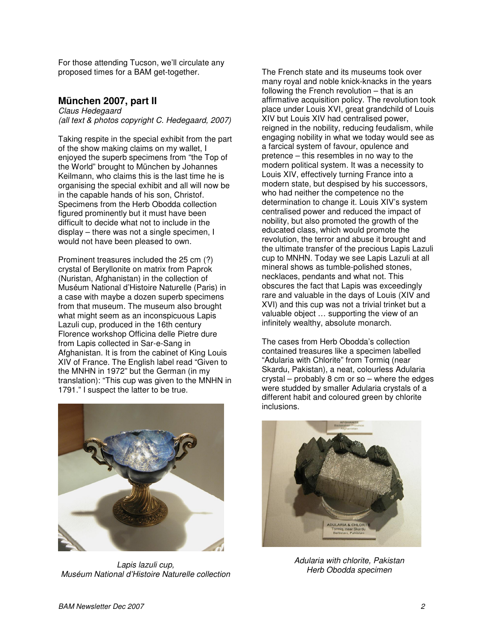For those attending Tucson, we'll circulate any proposed times for a BAM get-together.

## **München 2007, part II**

Claus Hedegaard (all text & photos copyright C. Hedegaard, 2007)

Taking respite in the special exhibit from the part of the show making claims on my wallet, I enjoyed the superb specimens from "the Top of the World" brought to München by Johannes Keilmann, who claims this is the last time he is organising the special exhibit and all will now be in the capable hands of his son, Christof. Specimens from the Herb Obodda collection figured prominently but it must have been difficult to decide what not to include in the display – there was not a single specimen, I would not have been pleased to own.

Prominent treasures included the 25 cm (?) crystal of Beryllonite on matrix from Paprok (Nuristan, Afghanistan) in the collection of Muséum National d'Histoire Naturelle (Paris) in a case with maybe a dozen superb specimens from that museum. The museum also brought what might seem as an inconspicuous Lapis Lazuli cup, produced in the 16th century Florence workshop Officina delle Pietre dure from Lapis collected in Sar-e-Sang in Afghanistan. It is from the cabinet of King Louis XIV of France. The English label read "Given to the MNHN in 1972" but the German (in my translation): "This cup was given to the MNHN in 1791." I suspect the latter to be true.



Lapis lazuli cup, Muséum National d'Histoire Naturelle collection

The French state and its museums took over many royal and noble knick-knacks in the years following the French revolution – that is an affirmative acquisition policy. The revolution took place under Louis XVI, great grandchild of Louis XIV but Louis XIV had centralised power, reigned in the nobility, reducing feudalism, while engaging nobility in what we today would see as a farcical system of favour, opulence and pretence – this resembles in no way to the modern political system. It was a necessity to Louis XIV, effectively turning France into a modern state, but despised by his successors, who had neither the competence no the determination to change it. Louis XIV's system centralised power and reduced the impact of nobility, but also promoted the growth of the educated class, which would promote the revolution, the terror and abuse it brought and the ultimate transfer of the precious Lapis Lazuli cup to MNHN. Today we see Lapis Lazuli at all mineral shows as tumble-polished stones, necklaces, pendants and what not. This obscures the fact that Lapis was exceedingly rare and valuable in the days of Louis (XIV and XVI) and this cup was not a trivial trinket but a valuable object … supporting the view of an infinitely wealthy, absolute monarch.

The cases from Herb Obodda's collection contained treasures like a specimen labelled "Adularia with Chlorite" from Tormiq (near Skardu, Pakistan), a neat, colourless Adularia crystal – probably 8 cm or so – where the edges were studded by smaller Adularia crystals of a different habit and coloured green by chlorite inclusions.



Adularia with chlorite, Pakistan Herb Obodda specimen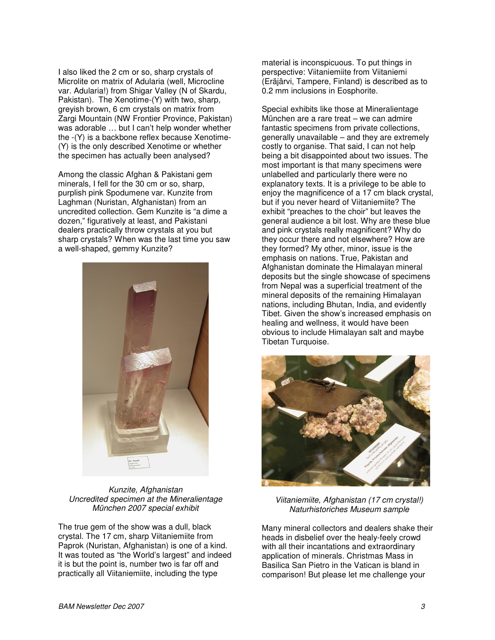I also liked the 2 cm or so, sharp crystals of Microlite on matrix of Adularia (well, Microcline var. Adularia!) from Shigar Valley (N of Skardu, Pakistan). The Xenotime-(Y) with two, sharp, greyish brown, 6 cm crystals on matrix from Zargi Mountain (NW Frontier Province, Pakistan) was adorable … but I can't help wonder whether the -(Y) is a backbone reflex because Xenotime- (Y) is the only described Xenotime or whether the specimen has actually been analysed?

Among the classic Afghan & Pakistani gem minerals, I fell for the 30 cm or so, sharp, purplish pink Spodumene var. Kunzite from Laghman (Nuristan, Afghanistan) from an uncredited collection. Gem Kunzite is "a dime a dozen," figuratively at least, and Pakistani dealers practically throw crystals at you but sharp crystals? When was the last time you saw a well-shaped, gemmy Kunzite?



Kunzite, Afghanistan Uncredited specimen at the Mineralientage München 2007 special exhibit

The true gem of the show was a dull, black crystal. The 17 cm, sharp Viitaniemiite from Paprok (Nuristan, Afghanistan) is one of a kind. It was touted as "the World's largest" and indeed it is but the point is, number two is far off and practically all Viitaniemiite, including the type

material is inconspicuous. To put things in perspective: Viitaniemiite from Viitaniemi (Eräjärvi, Tampere, Finland) is described as to 0.2 mm inclusions in Eosphorite.

Special exhibits like those at Mineralientage München are a rare treat – we can admire fantastic specimens from private collections, generally unavailable – and they are extremely costly to organise. That said, I can not help being a bit disappointed about two issues. The most important is that many specimens were unlabelled and particularly there were no explanatory texts. It is a privilege to be able to enjoy the magnificence of a 17 cm black crystal, but if you never heard of Viitaniemiite? The exhibit "preaches to the choir" but leaves the general audience a bit lost. Why are these blue and pink crystals really magnificent? Why do they occur there and not elsewhere? How are they formed? My other, minor, issue is the emphasis on nations. True, Pakistan and Afghanistan dominate the Himalayan mineral deposits but the single showcase of specimens from Nepal was a superficial treatment of the mineral deposits of the remaining Himalayan nations, including Bhutan, India, and evidently Tibet. Given the show's increased emphasis on healing and wellness, it would have been obvious to include Himalayan salt and maybe Tibetan Turquoise.



Viitaniemiite, Afghanistan (17 cm crystal!) Naturhistoriches Museum sample

Many mineral collectors and dealers shake their heads in disbelief over the healy-feely crowd with all their incantations and extraordinary application of minerals. Christmas Mass in Basilica San Pietro in the Vatican is bland in comparison! But please let me challenge your